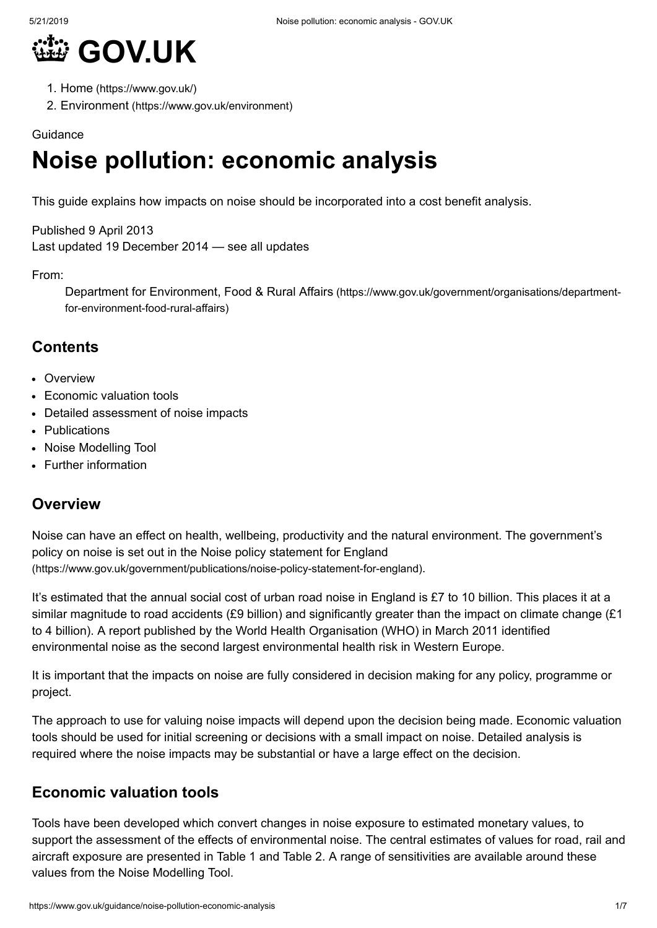

- 1. Home [\(https://www.gov.uk/\)](https://www.gov.uk/)
- 2. Environment [\(https://www.gov.uk/environment\)](https://www.gov.uk/environment)

#### Guidance

# **Noise pollution: economic analysis**

This guide explains how impacts on noise should be incorporated into a cost benefit analysis.

Published 9 April 2013 Last updated 19 December 2014 — see all [updates](#page-6-0)

#### From:

Department for Environment, Food & Rural Affairs [\(https://www.gov.uk/government/organisations/department](https://www.gov.uk/government/organisations/department-for-environment-food-rural-affairs)for-environment-food-rural-affairs)

## **Contents**

- [Overview](#page-0-0)
- [Economic](#page-0-1) valuation tools
- Detailed [assessment](#page-4-0) of noise impacts
- [Publications](#page-5-0)
- Noise [Modelling](#page-5-1) Tool
- Further [information](#page-5-2)

#### <span id="page-0-0"></span>**Overview**

Noise can have an effect on health, wellbeing, productivity and the natural environment. The government's policy on noise is set out in the Noise policy statement for England [\(https://www.gov.uk/government/publications/noise-policy-statement-for-england\)](https://www.gov.uk/government/publications/noise-policy-statement-for-england).

It's estimated that the annual social cost of urban road noise in England is £7 to 10 billion. This places it at a similar magnitude to road accidents (£9 billion) and significantly greater than the impact on climate change (£1 to 4 billion). A report published by the World Health Organisation (WHO) in March 2011 identified environmental noise as the second largest environmental health risk in Western Europe.

It is important that the impacts on noise are fully considered in decision making for any policy, programme or project.

The approach to use for valuing noise impacts will depend upon the decision being made. Economic valuation tools should be used for initial screening or decisions with a small impact on noise. Detailed analysis is required where the noise impacts may be substantial or have a large effect on the decision.

## <span id="page-0-1"></span>**Economic valuation tools**

Tools have been developed which convert changes in noise exposure to estimated monetary values, to support the assessment of the effects of environmental noise. The central estimates of values for road, rail and aircraft exposure are presented in Table 1 and Table 2. A range of sensitivities are available around these values from the Noise Modelling Tool.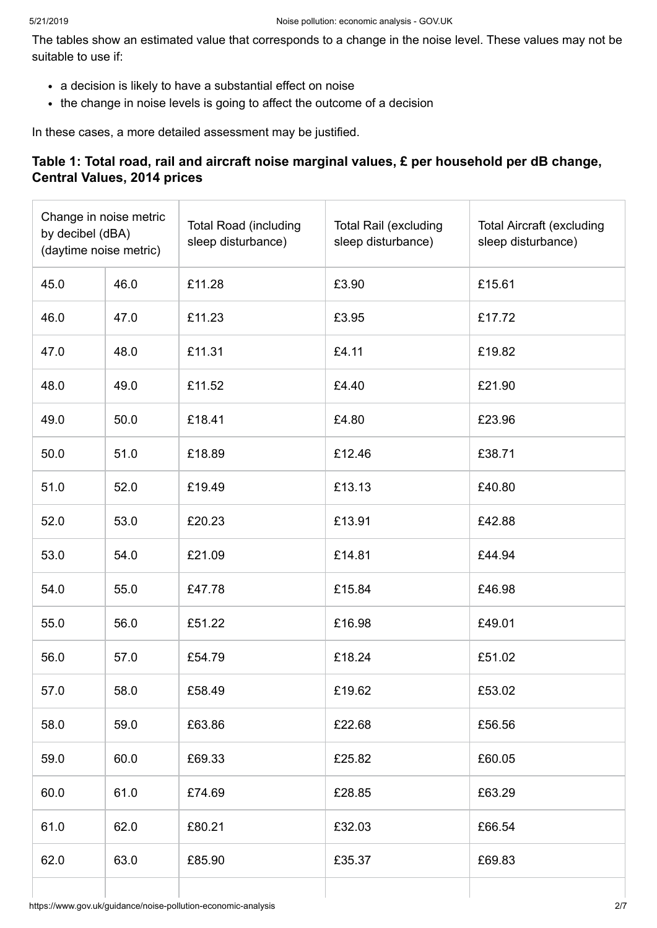The tables show an estimated value that corresponds to a change in the noise level. These values may not be suitable to use if:

- a decision is likely to have a substantial effect on noise
- the change in noise levels is going to affect the outcome of a decision

In these cases, a more detailed assessment may be justified.

#### **Table 1: Total road, rail and aircraft noise marginal values, £ per household per dB change, Central Values, 2014 prices**

| Change in noise metric<br>by decibel (dBA)<br>(daytime noise metric) |      | <b>Total Road (including</b><br>sleep disturbance) | <b>Total Rail (excluding</b><br>sleep disturbance) | <b>Total Aircraft (excluding</b><br>sleep disturbance) |
|----------------------------------------------------------------------|------|----------------------------------------------------|----------------------------------------------------|--------------------------------------------------------|
| 45.0                                                                 | 46.0 | £11.28                                             | £3.90                                              | £15.61                                                 |
| 46.0                                                                 | 47.0 | £11.23                                             | £3.95                                              | £17.72                                                 |
| 47.0                                                                 | 48.0 | £11.31                                             | £4.11                                              | £19.82                                                 |
| 48.0                                                                 | 49.0 | £11.52                                             | £4.40                                              | £21.90                                                 |
| 49.0                                                                 | 50.0 | £18.41                                             | £4.80                                              | £23.96                                                 |
| 50.0                                                                 | 51.0 | £18.89                                             | £12.46                                             | £38.71                                                 |
| 51.0                                                                 | 52.0 | £19.49                                             | £13.13                                             | £40.80                                                 |
| 52.0                                                                 | 53.0 | £20.23                                             | £13.91                                             | £42.88                                                 |
| 53.0                                                                 | 54.0 | £21.09                                             | £14.81                                             | £44.94                                                 |
| 54.0                                                                 | 55.0 | £47.78                                             | £15.84                                             | £46.98                                                 |
| 55.0                                                                 | 56.0 | £51.22                                             | £16.98                                             | £49.01                                                 |
| 56.0                                                                 | 57.0 | £54.79                                             | £18.24                                             | £51.02                                                 |
| 57.0                                                                 | 58.0 | £58.49                                             | £19.62                                             | £53.02                                                 |
| 58.0                                                                 | 59.0 | £63.86                                             | £22.68                                             | £56.56                                                 |
| 59.0                                                                 | 60.0 | £69.33                                             | £25.82                                             | £60.05                                                 |
| 60.0                                                                 | 61.0 | £74.69                                             | £28.85                                             | £63.29                                                 |
| 61.0                                                                 | 62.0 | £80.21                                             | £32.03                                             | £66.54                                                 |
| 62.0                                                                 | 63.0 | £85.90                                             | £35.37                                             | £69.83                                                 |
|                                                                      |      |                                                    |                                                    |                                                        |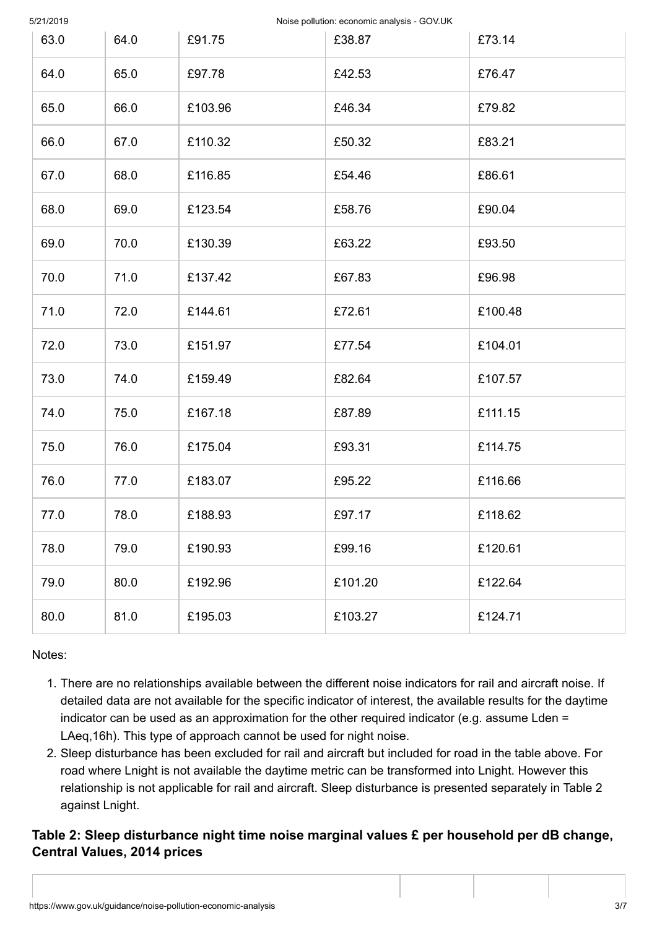5/21/2019 Noise pollution: economic analysis - GOV.UK

| 63.0 | 64.0 | £91.75  | £38.87  | £73.14  |
|------|------|---------|---------|---------|
| 64.0 | 65.0 | £97.78  | £42.53  | £76.47  |
| 65.0 | 66.0 | £103.96 | £46.34  | £79.82  |
| 66.0 | 67.0 | £110.32 | £50.32  | £83.21  |
| 67.0 | 68.0 | £116.85 | £54.46  | £86.61  |
| 68.0 | 69.0 | £123.54 | £58.76  | £90.04  |
| 69.0 | 70.0 | £130.39 | £63.22  | £93.50  |
| 70.0 | 71.0 | £137.42 | £67.83  | £96.98  |
| 71.0 | 72.0 | £144.61 | £72.61  | £100.48 |
| 72.0 | 73.0 | £151.97 | £77.54  | £104.01 |
| 73.0 | 74.0 | £159.49 | £82.64  | £107.57 |
| 74.0 | 75.0 | £167.18 | £87.89  | £111.15 |
| 75.0 | 76.0 | £175.04 | £93.31  | £114.75 |
| 76.0 | 77.0 | £183.07 | £95.22  | £116.66 |
| 77.0 | 78.0 | £188.93 | £97.17  | £118.62 |
| 78.0 | 79.0 | £190.93 | £99.16  | £120.61 |
| 79.0 | 80.0 | £192.96 | £101.20 | £122.64 |
| 80.0 | 81.0 | £195.03 | £103.27 | £124.71 |

Notes:

- 1. There are no relationships available between the different noise indicators for rail and aircraft noise. If detailed data are not available for the specific indicator of interest, the available results for the daytime indicator can be used as an approximation for the other required indicator (e.g. assume Lden = LAeq,16h). This type of approach cannot be used for night noise.
- 2. Sleep disturbance has been excluded for rail and aircraft but included for road in the table above. For road where Lnight is not available the daytime metric can be transformed into Lnight. However this relationship is not applicable for rail and aircraft. Sleep disturbance is presented separately in Table 2 against Lnight.

**Table 2: Sleep disturbance night time noise marginal values £ per household per dB change, Central Values, 2014 prices**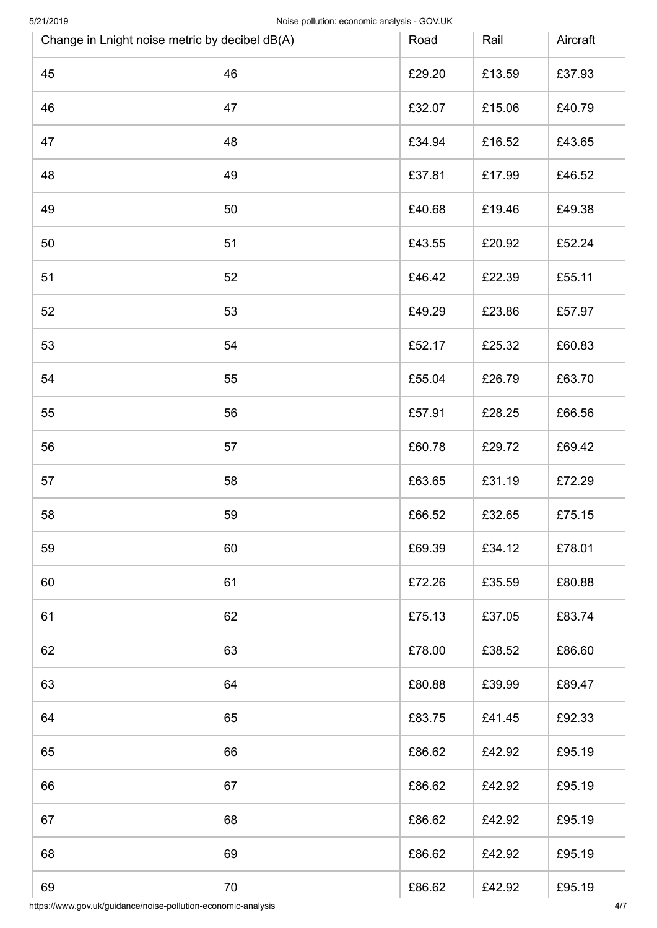| 5/21/2019 | Change in Lnight noise metric by decibel dB(A) | Noise pollution: economic analysis - GOV.UK<br>Road | Rail   | Aircraft |
|-----------|------------------------------------------------|-----------------------------------------------------|--------|----------|
| 45        | 46                                             | £29.20                                              | £13.59 | £37.93   |
| 46        | 47                                             | £32.07                                              | £15.06 | £40.79   |
| 47        | 48                                             | £34.94                                              | £16.52 | £43.65   |
| 48        | 49                                             | £37.81                                              | £17.99 | £46.52   |
| 49        | 50                                             | £40.68                                              | £19.46 | £49.38   |
| 50        | 51                                             | £43.55                                              | £20.92 | £52.24   |
| 51        | 52                                             | £46.42                                              | £22.39 | £55.11   |
| 52        | 53                                             | £49.29                                              | £23.86 | £57.97   |
| 53        | 54                                             | £52.17                                              | £25.32 | £60.83   |
| 54        | 55                                             | £55.04                                              | £26.79 | £63.70   |
| 55        | 56                                             | £57.91                                              | £28.25 | £66.56   |
| 56        | 57                                             | £60.78                                              | £29.72 | £69.42   |
| 57        | 58                                             | £63.65                                              | £31.19 | £72.29   |
| 58        | 59                                             | £66.52                                              | £32.65 | £75.15   |
| 59        | 60                                             | £69.39                                              | £34.12 | £78.01   |
| 60        | 61                                             | £72.26                                              | £35.59 | £80.88   |
| 61        | 62                                             | £75.13                                              | £37.05 | £83.74   |
| 62        | 63                                             | £78.00                                              | £38.52 | £86.60   |
| 63        | 64                                             | £80.88                                              | £39.99 | £89.47   |
| 64        | 65                                             | £83.75                                              | £41.45 | £92.33   |
| 65        | 66                                             | £86.62                                              | £42.92 | £95.19   |
| 66        | 67                                             | £86.62                                              | £42.92 | £95.19   |
| 67        | 68                                             | £86.62                                              | £42.92 | £95.19   |
| 68        | 69                                             | £86.62                                              | £42.92 | £95.19   |
| 69        | 70                                             | £86.62                                              | £42.92 | £95.19   |

https://www.gov.uk/guidance/noise-pollution-economic-analysis 4/7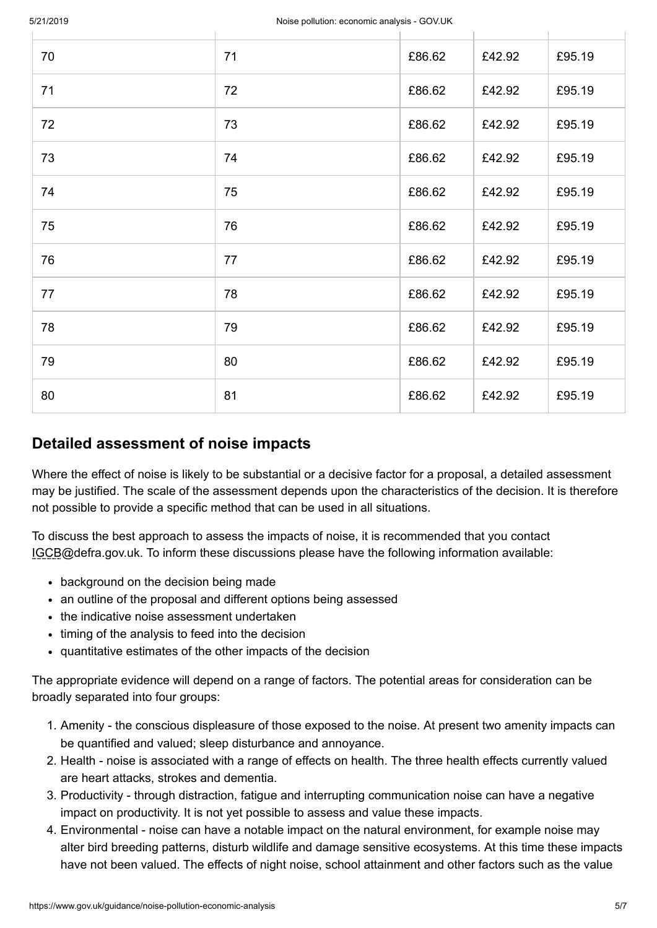| 70 | 71 | £86.62 | £42.92 | £95.19 |
|----|----|--------|--------|--------|
| 71 | 72 | £86.62 | £42.92 | £95.19 |
| 72 | 73 | £86.62 | £42.92 | £95.19 |
| 73 | 74 | £86.62 | £42.92 | £95.19 |
| 74 | 75 | £86.62 | £42.92 | £95.19 |
| 75 | 76 | £86.62 | £42.92 | £95.19 |
| 76 | 77 | £86.62 | £42.92 | £95.19 |
| 77 | 78 | £86.62 | £42.92 | £95.19 |
| 78 | 79 | £86.62 | £42.92 | £95.19 |
| 79 | 80 | £86.62 | £42.92 | £95.19 |
| 80 | 81 | £86.62 | £42.92 | £95.19 |

## <span id="page-4-0"></span>**Detailed assessment of noise impacts**

Where the effect of noise is likely to be substantial or a decisive factor for a proposal, a detailed assessment may be justified. The scale of the assessment depends upon the characteristics of the decision. It is therefore not possible to provide a specific method that can be used in all situations.

To discuss the best approach to assess the impacts of noise, it is recommended that you contact [IGCB@defra.gov.uk.](mailto:IGCB@defra.gov.uk) To inform these discussions please have the following information available:

- background on the decision being made
- an outline of the proposal and different options being assessed
- the indicative noise assessment undertaken
- timing of the analysis to feed into the decision
- quantitative estimates of the other impacts of the decision

The appropriate evidence will depend on a range of factors. The potential areas for consideration can be broadly separated into four groups:

- 1. Amenity the conscious displeasure of those exposed to the noise. At present two amenity impacts can be quantified and valued; sleep disturbance and annoyance.
- 2. Health noise is associated with a range of effects on health. The three health effects currently valued are heart attacks, strokes and dementia.
- 3. Productivity through distraction, fatigue and interrupting communication noise can have a negative impact on productivity. It is not yet possible to assess and value these impacts.
- 4. Environmental noise can have a notable impact on the natural environment, for example noise may alter bird breeding patterns, disturb wildlife and damage sensitive ecosystems. At this time these impacts have not been valued. The effects of night noise, school attainment and other factors such as the value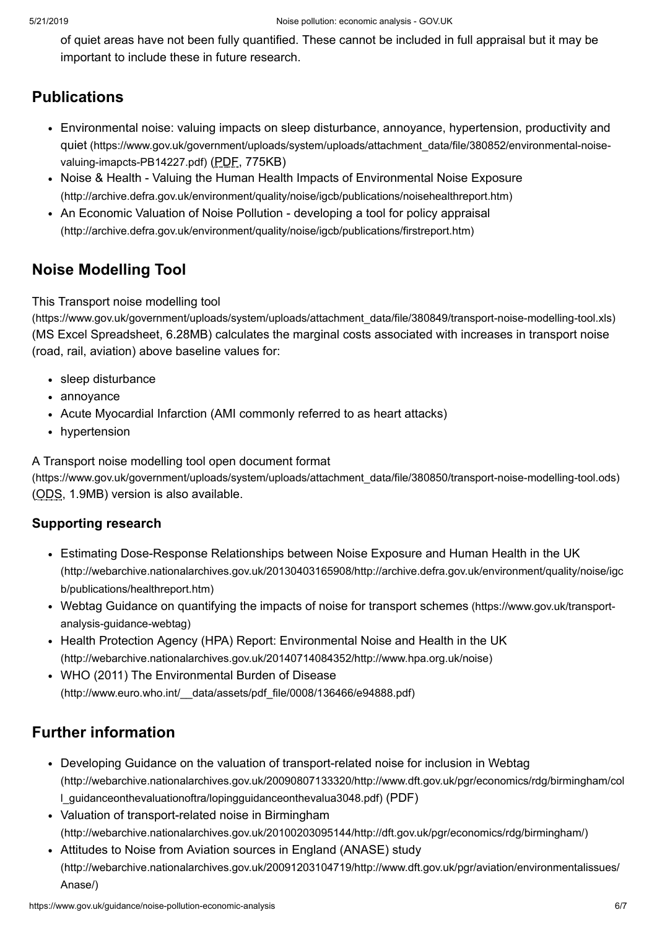of quiet areas have not been fully quantified. These cannot be included in full appraisal but it may be important to include these in future research.

# <span id="page-5-0"></span>**Publications**

- Environmental noise: valuing impacts on sleep disturbance, annoyance, hypertension, productivity and quiet [\(https://www.gov.uk/government/uploads/system/uploads/attachment\\_data/file/380852/environmental-noise](https://www.gov.uk/government/uploads/system/uploads/attachment_data/file/380852/environmental-noise-valuing-imapcts-PB14227.pdf)valuing-imapcts-PB14227.pdf) (PDF, 775KB)
- Noise & Health Valuing the Human Health Impacts of Environmental Noise Exposure [\(http://archive.defra.gov.uk/environment/quality/noise/igcb/publications/noisehealthreport.htm\)](http://archive.defra.gov.uk/environment/quality/noise/igcb/publications/noisehealthreport.htm)
- An Economic Valuation of Noise Pollution developing a tool for policy appraisal [\(http://archive.defra.gov.uk/environment/quality/noise/igcb/publications/firstreport.htm\)](http://archive.defra.gov.uk/environment/quality/noise/igcb/publications/firstreport.htm)

# <span id="page-5-1"></span>**Noise Modelling Tool**

#### This Transport noise modelling tool

[\(https://www.gov.uk/government/uploads/system/uploads/attachment\\_data/file/380849/transport-noise-modelling-tool.xls\)](https://www.gov.uk/government/uploads/system/uploads/attachment_data/file/380849/transport-noise-modelling-tool.xls) (MS Excel Spreadsheet, 6.28MB) calculates the marginal costs associated with increases in transport noise (road, rail, aviation) above baseline values for:

- sleep disturbance
- annoyance
- Acute Myocardial Infarction (AMI commonly referred to as heart attacks)
- hypertension

A Transport noise modelling tool open document format

[\(https://www.gov.uk/government/uploads/system/uploads/attachment\\_data/file/380850/transport-noise-modelling-tool.ods\)](https://www.gov.uk/government/uploads/system/uploads/attachment_data/file/380850/transport-noise-modelling-tool.ods) (ODS, 1.9MB) version is also available.

#### **Supporting research**

- Estimating Dose-Response Relationships between Noise Exposure and Human Health in the UK [\(http://webarchive.nationalarchives.gov.uk/20130403165908/http://archive.defra.gov.uk/environment/quality/noise/igc](http://webarchive.nationalarchives.gov.uk/20130403165908/http://archive.defra.gov.uk/environment/quality/noise/igcb/publications/healthreport.htm) b/publications/healthreport.htm)
- Webtag Guidance on quantifying the impacts of noise for transport schemes [\(https://www.gov.uk/transport](https://www.gov.uk/transport-analysis-guidance-webtag)analysis-guidance-webtag)
- Health Protection Agency (HPA) Report: Environmental Noise and Health in the UK [\(http://webarchive.nationalarchives.gov.uk/20140714084352/http://www.hpa.org.uk/noise\)](http://webarchive.nationalarchives.gov.uk/20140714084352/http://www.hpa.org.uk/noise)
- WHO (2011) The Environmental Burden of Disease [\(http://www.euro.who.int/\\_\\_data/assets/pdf\\_file/0008/136466/e94888.pdf\)](http://www.euro.who.int/__data/assets/pdf_file/0008/136466/e94888.pdf)

# <span id="page-5-2"></span>**Further information**

- Developing Guidance on the valuation of transport-related noise for inclusion in Webtag [\(http://webarchive.nationalarchives.gov.uk/20090807133320/http://www.dft.gov.uk/pgr/economics/rdg/birmingham/col](http://webarchive.nationalarchives.gov.uk/20090807133320/http://www.dft.gov.uk/pgr/economics/rdg/birmingham/coll_guidanceonthevaluationoftra/lopingguidanceonthevalua3048.pdf) l\_guidanceonthevaluationoftra/lopingguidanceonthevalua3048.pdf) (PDF)
- Valuation of transport-related noise in Birmingham [\(http://webarchive.nationalarchives.gov.uk/20100203095144/http://dft.gov.uk/pgr/economics/rdg/birmingham/\)](http://webarchive.nationalarchives.gov.uk/20100203095144/http://dft.gov.uk/pgr/economics/rdg/birmingham/)
- Attitudes to Noise from Aviation sources in England (ANASE) study [\(http://webarchive.nationalarchives.gov.uk/20091203104719/http://www.dft.gov.uk/pgr/aviation/environmentalissues/](http://webarchive.nationalarchives.gov.uk/20091203104719/http://www.dft.gov.uk/pgr/aviation/environmentalissues/Anase/) Anase/)